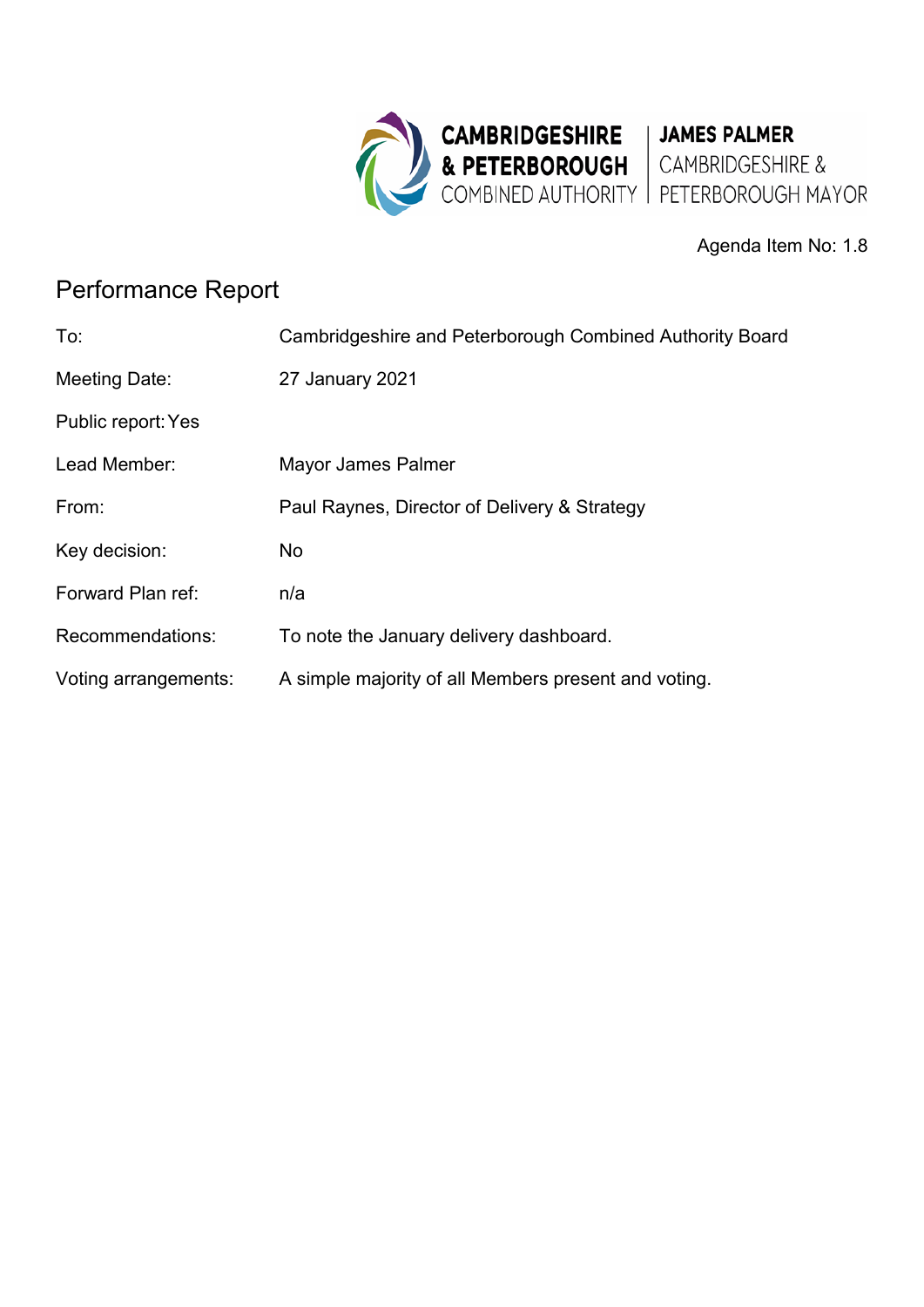

Agenda Item No: 1.8

# Performance Report

| To:                  | Cambridgeshire and Peterborough Combined Authority Board |
|----------------------|----------------------------------------------------------|
| Meeting Date:        | 27 January 2021                                          |
| Public report: Yes   |                                                          |
| Lead Member:         | Mayor James Palmer                                       |
| From:                | Paul Raynes, Director of Delivery & Strategy             |
| Key decision:        | No                                                       |
| Forward Plan ref:    | n/a                                                      |
| Recommendations:     | To note the January delivery dashboard.                  |
| Voting arrangements: | A simple majority of all Members present and voting.     |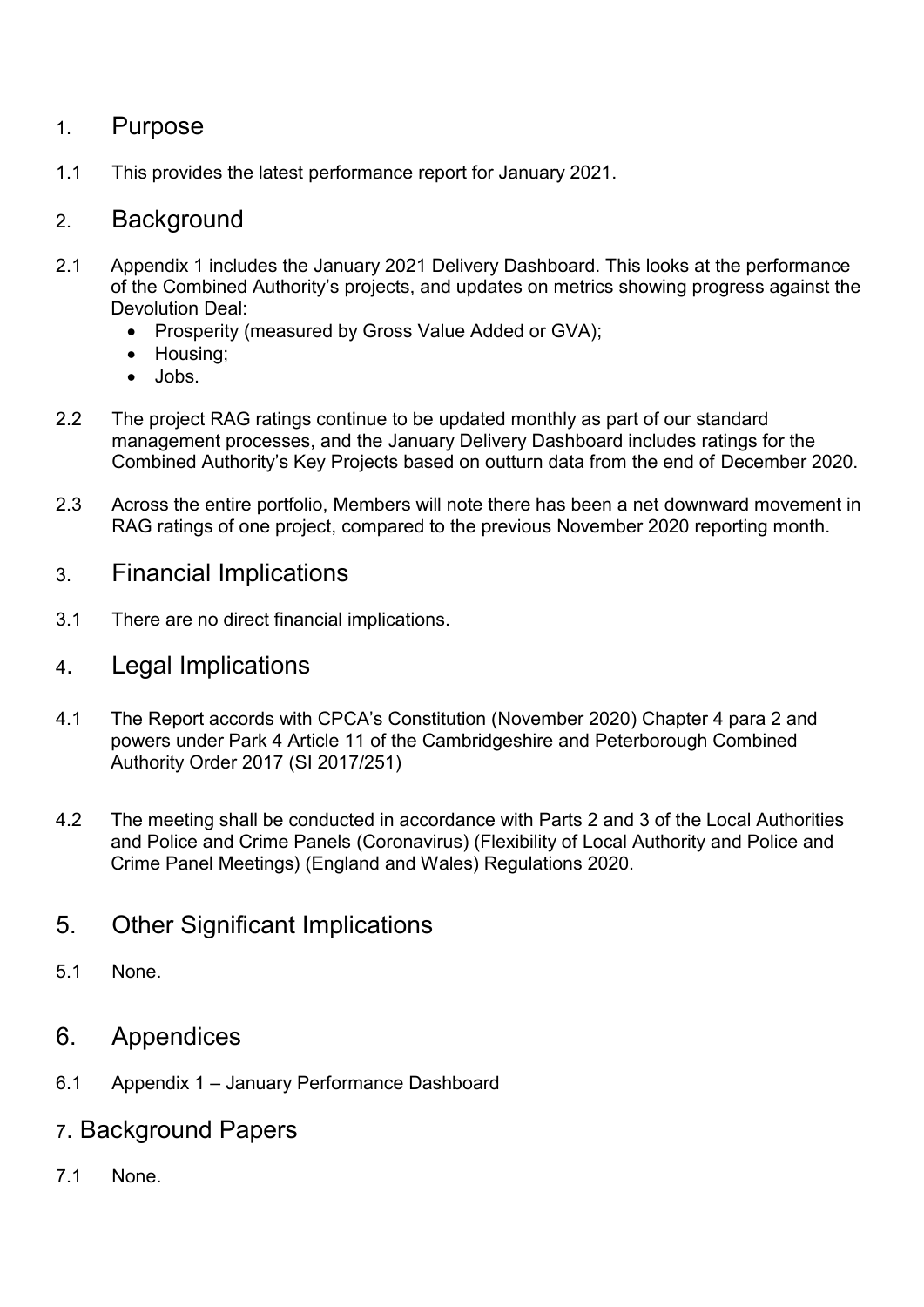### 1. Purpose

1.1 This provides the latest performance report for January 2021.

### 2. Background

- 2.1 Appendix 1 includes the January 2021 Delivery Dashboard. This looks at the performance of the Combined Authority's projects, and updates on metrics showing progress against the Devolution Deal:
	- Prosperity (measured by Gross Value Added or GVA);
	- Housing;
	- Jobs.
- 2.2 The project RAG ratings continue to be updated monthly as part of our standard management processes, and the January Delivery Dashboard includes ratings for the Combined Authority's Key Projects based on outturn data from the end of December 2020.
- 2.3 Across the entire portfolio, Members will note there has been a net downward movement in RAG ratings of one project, compared to the previous November 2020 reporting month.

#### 3. Financial Implications

- 3.1 There are no direct financial implications.
- 4. Legal Implications
- 4.1 The Report accords with CPCA's Constitution (November 2020) Chapter 4 para 2 and powers under Park 4 Article 11 of the Cambridgeshire and Peterborough Combined Authority Order 2017 (SI 2017/251)
- 4.2 The meeting shall be conducted in accordance with Parts 2 and 3 of the Local Authorities and Police and Crime Panels (Coronavirus) (Flexibility of Local Authority and Police and Crime Panel Meetings) (England and Wales) Regulations 2020.
- 5. Other Significant Implications
- 5.1 None.
- 6. Appendices
- 6.1 Appendix 1 January Performance Dashboard
- 7. Background Papers
- 7.1 None.